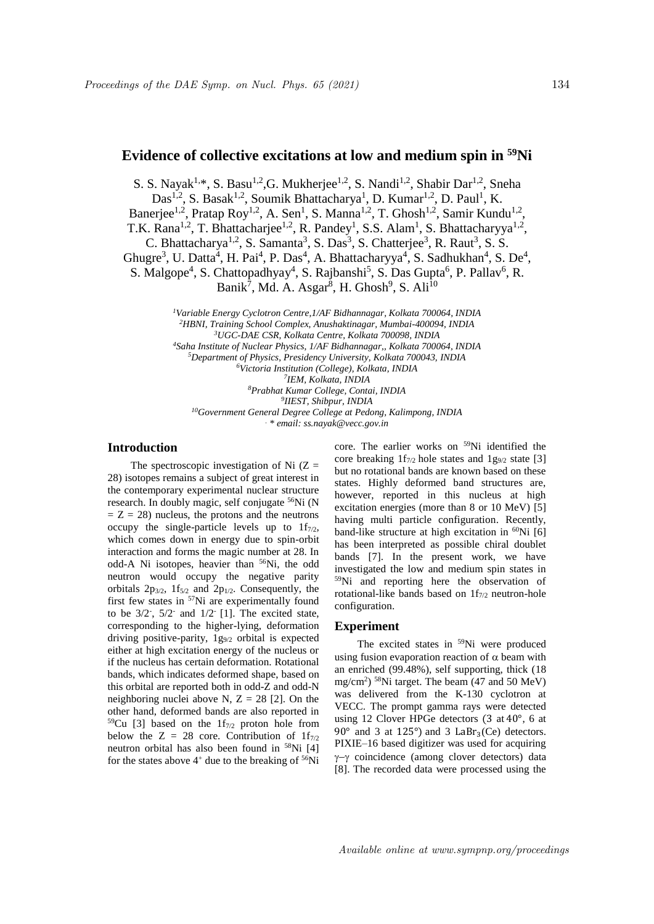# **Evidence of collective excitations at low and medium spin in <sup>59</sup>Ni**

S. S. Nayak<sup>1,\*</sup>, S. Basu<sup>1,2</sup>, G. Mukherjee<sup>1,2</sup>, S. Nandi<sup>1,2</sup>, Shabir Dar<sup>1,2</sup>, Sneha Das<sup>1,2</sup>, S. Basak<sup>1,2</sup>, Soumik Bhattacharya<sup>1</sup>, D. Kumar<sup>1,2</sup>, D. Paul<sup>1</sup>, K. Banerjee<sup>1,2</sup>, Pratap Roy<sup>1,2</sup>, A. Sen<sup>1</sup>, S. Manna<sup>1,2</sup>, T. Ghosh<sup>1,2</sup>, Samir Kundu<sup>1,2</sup>, T.K. Rana<sup>1,2</sup>, T. Bhattacharjee<sup>1,2</sup>, R. Pandey<sup>1</sup>, S.S. Alam<sup>1</sup>, S. Bhattacharyya<sup>1,2</sup>, C. Bhattacharya<sup>1,2</sup>, S. Samanta<sup>3</sup>, S. Das<sup>3</sup>, S. Chatterjee<sup>3</sup>, R. Raut<sup>3</sup>, S. S.

Ghugre<sup>3</sup>, U. Datta<sup>4</sup>, H. Pai<sup>4</sup>, P. Das<sup>4</sup>, A. Bhattacharyya<sup>4</sup>, S. Sadhukhan<sup>4</sup>, S. De<sup>4</sup>,

S. Malgope<sup>4</sup>, S. Chattopadhyay<sup>4</sup>, S. Rajbanshi<sup>5</sup>, S. Das Gupta<sup>6</sup>, P. Pallav<sup>6</sup>, R.

Banik<sup>7</sup>, Md. A. Asgar<sup>8</sup>, H. Ghosh<sup>9</sup>, S. Ali<sup>10</sup>

*Variable Energy Cyclotron Centre,1/AF Bidhannagar, Kolkata 700064, INDIA HBNI, Training School Complex, Anushaktinagar, Mumbai-400094, INDIA UGC-DAE CSR, Kolkata Centre, Kolkata 700098, INDIA Saha Institute of Nuclear Physics, 1/AF Bidhannagar,, Kolkata 700064, INDIA Department of Physics, Presidency University, Kolkata 700043, INDIA Victoria Institution (College), Kolkata, INDIA IEM, Kolkata, INDIA Prabhat Kumar College, Contai, INDIA IIEST, Shibpur, INDIA Government General Degree College at Pedong, Kalimpong, INDIA . \* email: ss.nayak@vecc.gov.in*

## **Introduction**

The spectroscopic investigation of Ni  $(Z =$ 28) isotopes remains a subject of great interest in the contemporary experimental nuclear structure research. In doubly magic, self conjugate <sup>56</sup>Ni (N  $Z = Z = 28$ ) nucleus, the protons and the neutrons occupy the single-particle levels up to  $1f_{7/2}$ , which comes down in energy due to spin-orbit interaction and forms the magic number at 28. In odd-A Ni isotopes, heavier than <sup>56</sup>Ni, the odd neutron would occupy the negative parity orbitals  $2p_{3/2}$ ,  $1f_{5/2}$  and  $2p_{1/2}$ . Consequently, the first few states in <sup>57</sup>Ni are experimentally found to be  $3/2$ <sup>-</sup>,  $5/2$ <sup>-</sup> and  $1/2$ <sup>-</sup> [1]. The excited state, corresponding to the higher-lying, deformation driving positive-parity, 1g9/2 orbital is expected either at high excitation energy of the nucleus or if the nucleus has certain deformation. Rotational bands, which indicates deformed shape, based on this orbital are reported both in odd-Z and odd-N neighboring nuclei above N,  $Z = 28$  [2]. On the other hand, deformed bands are also reported in  $59$ Cu [3] based on the 1f<sub>7/2</sub> proton hole from below the  $Z = 28$  core. Contribution of  $1f_{7/2}$ neutron orbital has also been found in <sup>58</sup>Ni [4] for the states above  $4^+$  due to the breaking of  $56Ni$ 

core. The earlier works on <sup>59</sup>Ni identified the core breaking  $1f_{7/2}$  hole states and  $1g_{9/2}$  state [3] but no rotational bands are known based on these states. Highly deformed band structures are, however, reported in this nucleus at high excitation energies (more than 8 or 10 MeV) [5] having multi particle configuration. Recently, band-like structure at high excitation in  ${}^{60}\text{Ni}$  [6] has been interpreted as possible chiral doublet bands [7]. In the present work, we have investigated the low and medium spin states in <sup>59</sup>Ni and reporting here the observation of rotational-like bands based on  $1f_{7/2}$  neutron-hole configuration.

## **Experiment**

The excited states in <sup>59</sup>Ni were produced using fusion evaporation reaction of  $\alpha$  beam with an enriched (99.48%), self supporting, thick (18 mg/cm<sup>2</sup> ) <sup>58</sup>Ni target. The beam (47 and 50 MeV) was delivered from the K-130 cyclotron at VECC. The prompt gamma rays were detected using 12 Clover HPGe detectors (3 at 40°, 6 at 90 $^{\circ}$  and 3 at 125 $^{\circ}$ ) and 3 LaBr<sub>3</sub>(Ce) detectors. PIXIE–16 based digitizer was used for acquiring  $\gamma-\gamma$  coincidence (among clover detectors) data [8]. The recorded data were processed using the